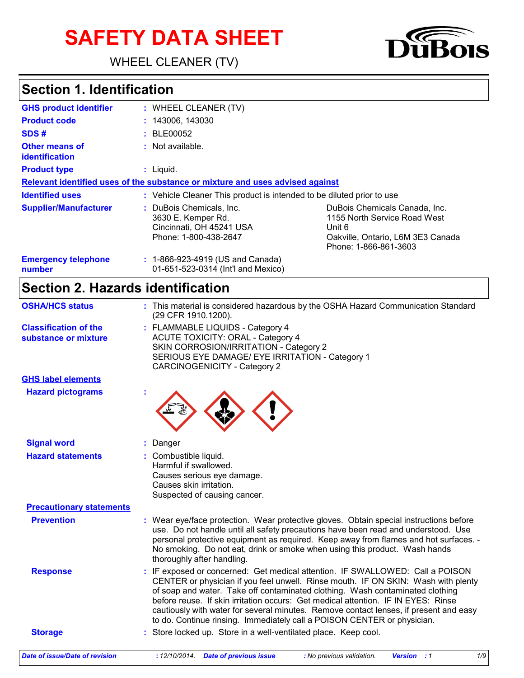# **SAFETY DATA SHEET**

WHEEL CLEANER (TV)

# **Section 1. Identification**

| <b>GHS product identifier</b>                  | : WHEEL CLEANER (TV)                                                                                |                                                                                                                                       |
|------------------------------------------------|-----------------------------------------------------------------------------------------------------|---------------------------------------------------------------------------------------------------------------------------------------|
| <b>Product code</b>                            | : 143006, 143030                                                                                    |                                                                                                                                       |
| SDS#                                           | <b>BLE00052</b>                                                                                     |                                                                                                                                       |
| <b>Other means of</b><br><b>identification</b> | : Not available.                                                                                    |                                                                                                                                       |
| <b>Product type</b>                            | $:$ Liquid.                                                                                         |                                                                                                                                       |
|                                                | Relevant identified uses of the substance or mixture and uses advised against                       |                                                                                                                                       |
| <b>Identified uses</b>                         | : Vehicle Cleaner This product is intended to be diluted prior to use                               |                                                                                                                                       |
| <b>Supplier/Manufacturer</b>                   | : DuBois Chemicals, Inc.<br>3630 E. Kemper Rd.<br>Cincinnati, OH 45241 USA<br>Phone: 1-800-438-2647 | DuBois Chemicals Canada, Inc.<br>1155 North Service Road West<br>Unit 6<br>Oakville, Ontario, L6M 3E3 Canada<br>Phone: 1-866-861-3603 |
| <b>Emergency telephone</b><br>number           | : 1-866-923-4919 (US and Canada)<br>01-651-523-0314 (Int'l and Mexico)                              |                                                                                                                                       |

1S

## **Section 2. Hazards identification**

| <b>OSHA/HCS status</b>                               | : This material is considered hazardous by the OSHA Hazard Communication Standard<br>(29 CFR 1910.1200).                                                                                                                                                                                                                                                                                                                                                                                                     |
|------------------------------------------------------|--------------------------------------------------------------------------------------------------------------------------------------------------------------------------------------------------------------------------------------------------------------------------------------------------------------------------------------------------------------------------------------------------------------------------------------------------------------------------------------------------------------|
| <b>Classification of the</b><br>substance or mixture | : FLAMMABLE LIQUIDS - Category 4<br><b>ACUTE TOXICITY: ORAL - Category 4</b><br>SKIN CORROSION/IRRITATION - Category 2<br>SERIOUS EYE DAMAGE/ EYE IRRITATION - Category 1<br><b>CARCINOGENICITY - Category 2</b>                                                                                                                                                                                                                                                                                             |
| <b>GHS label elements</b>                            |                                                                                                                                                                                                                                                                                                                                                                                                                                                                                                              |
| <b>Hazard pictograms</b>                             |                                                                                                                                                                                                                                                                                                                                                                                                                                                                                                              |
| <b>Signal word</b>                                   | : Danger                                                                                                                                                                                                                                                                                                                                                                                                                                                                                                     |
| <b>Hazard statements</b>                             | : Combustible liquid.<br>Harmful if swallowed.<br>Causes serious eye damage.<br>Causes skin irritation.<br>Suspected of causing cancer.                                                                                                                                                                                                                                                                                                                                                                      |
| <b>Precautionary statements</b>                      |                                                                                                                                                                                                                                                                                                                                                                                                                                                                                                              |
| <b>Prevention</b>                                    | : Wear eye/face protection. Wear protective gloves. Obtain special instructions before<br>use. Do not handle until all safety precautions have been read and understood. Use<br>personal protective equipment as required. Keep away from flames and hot surfaces. -<br>No smoking. Do not eat, drink or smoke when using this product. Wash hands<br>thoroughly after handling.                                                                                                                             |
| <b>Response</b>                                      | : IF exposed or concerned: Get medical attention. IF SWALLOWED: Call a POISON<br>CENTER or physician if you feel unwell. Rinse mouth. IF ON SKIN: Wash with plenty<br>of soap and water. Take off contaminated clothing. Wash contaminated clothing<br>before reuse. If skin irritation occurs: Get medical attention. IF IN EYES: Rinse<br>cautiously with water for several minutes. Remove contact lenses, if present and easy<br>to do. Continue rinsing. Immediately call a POISON CENTER or physician. |
|                                                      | : Store locked up. Store in a well-ventilated place. Keep cool.                                                                                                                                                                                                                                                                                                                                                                                                                                              |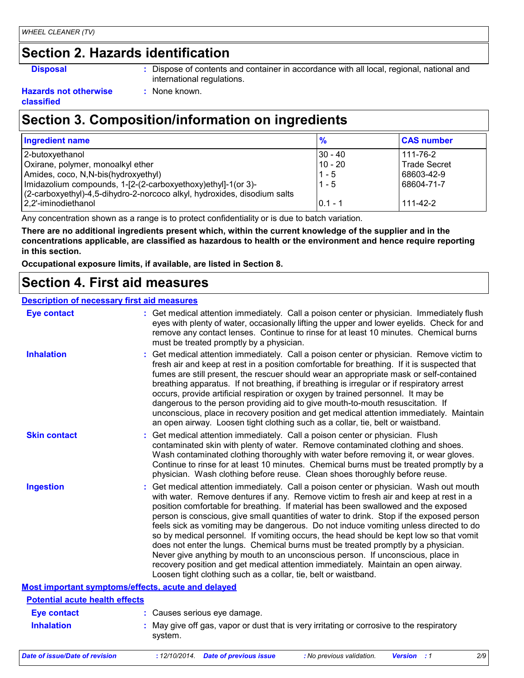# **Section 2. Hazards identification**

- 
- **Disposal :** Dispose of contents and container in accordance with all local, regional, national and international regulations.

#### **Hazards not otherwise classified**

# **Section 3. Composition/information on ingredients**

**:** None known.

| Ingredient name                                                                                                                                                                   | $\frac{9}{6}$            | <b>CAS number</b>               |
|-----------------------------------------------------------------------------------------------------------------------------------------------------------------------------------|--------------------------|---------------------------------|
| 2-butoxyethanol<br>Oxirane, polymer, monoalkyl ether                                                                                                                              | $ 30 - 40 $<br>$10 - 20$ | 111-76-2<br><b>Trade Secret</b> |
| Amides, coco, N, N-bis (hydroxyethyl)<br>Imidazolium compounds, 1-[2-(2-carboxyethoxy)ethyl]-1(or 3)-<br>(2-carboxyethyl)-4,5-dihydro-2-norcoco alkyl, hydroxides, disodium salts | $11 - 5$<br>$1 - 5$      | 68603-42-9<br>68604-71-7        |
| 2.2'-iminodiethanol                                                                                                                                                               | $0.1 - 1$                | 111-42-2                        |

Any concentration shown as a range is to protect confidentiality or is due to batch variation.

**There are no additional ingredients present which, within the current knowledge of the supplier and in the concentrations applicable, are classified as hazardous to health or the environment and hence require reporting in this section.**

**Occupational exposure limits, if available, are listed in Section 8.**

## **Section 4. First aid measures**

#### **Description of necessary first aid measures**

| <b>Eye contact</b>                                 | : Get medical attention immediately. Call a poison center or physician. Immediately flush<br>eyes with plenty of water, occasionally lifting the upper and lower eyelids. Check for and<br>remove any contact lenses. Continue to rinse for at least 10 minutes. Chemical burns<br>must be treated promptly by a physician.                                                                                                                                                                                                                                                                                                                                                                                                                                                                                                                                                         |  |
|----------------------------------------------------|-------------------------------------------------------------------------------------------------------------------------------------------------------------------------------------------------------------------------------------------------------------------------------------------------------------------------------------------------------------------------------------------------------------------------------------------------------------------------------------------------------------------------------------------------------------------------------------------------------------------------------------------------------------------------------------------------------------------------------------------------------------------------------------------------------------------------------------------------------------------------------------|--|
| <b>Inhalation</b>                                  | : Get medical attention immediately. Call a poison center or physician. Remove victim to<br>fresh air and keep at rest in a position comfortable for breathing. If it is suspected that<br>fumes are still present, the rescuer should wear an appropriate mask or self-contained<br>breathing apparatus. If not breathing, if breathing is irregular or if respiratory arrest<br>occurs, provide artificial respiration or oxygen by trained personnel. It may be<br>dangerous to the person providing aid to give mouth-to-mouth resuscitation. If<br>unconscious, place in recovery position and get medical attention immediately. Maintain<br>an open airway. Loosen tight clothing such as a collar, tie, belt or waistband.                                                                                                                                                  |  |
| <b>Skin contact</b>                                | : Get medical attention immediately. Call a poison center or physician. Flush<br>contaminated skin with plenty of water. Remove contaminated clothing and shoes.<br>Wash contaminated clothing thoroughly with water before removing it, or wear gloves.<br>Continue to rinse for at least 10 minutes. Chemical burns must be treated promptly by a<br>physician. Wash clothing before reuse. Clean shoes thoroughly before reuse.                                                                                                                                                                                                                                                                                                                                                                                                                                                  |  |
| <b>Ingestion</b>                                   | : Get medical attention immediately. Call a poison center or physician. Wash out mouth<br>with water. Remove dentures if any. Remove victim to fresh air and keep at rest in a<br>position comfortable for breathing. If material has been swallowed and the exposed<br>person is conscious, give small quantities of water to drink. Stop if the exposed person<br>feels sick as vomiting may be dangerous. Do not induce vomiting unless directed to do<br>so by medical personnel. If vomiting occurs, the head should be kept low so that vomit<br>does not enter the lungs. Chemical burns must be treated promptly by a physician.<br>Never give anything by mouth to an unconscious person. If unconscious, place in<br>recovery position and get medical attention immediately. Maintain an open airway.<br>Loosen tight clothing such as a collar, tie, belt or waistband. |  |
| Most important symptoms/effects, acute and delayed |                                                                                                                                                                                                                                                                                                                                                                                                                                                                                                                                                                                                                                                                                                                                                                                                                                                                                     |  |
| <b>Potential acute health effects</b>              |                                                                                                                                                                                                                                                                                                                                                                                                                                                                                                                                                                                                                                                                                                                                                                                                                                                                                     |  |
| <b>Eye contact</b>                                 | : Causes serious eye damage.                                                                                                                                                                                                                                                                                                                                                                                                                                                                                                                                                                                                                                                                                                                                                                                                                                                        |  |
| <b>Inhalation</b>                                  | : May give off gas, vapor or dust that is very irritating or corrosive to the respiratory<br>system.                                                                                                                                                                                                                                                                                                                                                                                                                                                                                                                                                                                                                                                                                                                                                                                |  |
|                                                    |                                                                                                                                                                                                                                                                                                                                                                                                                                                                                                                                                                                                                                                                                                                                                                                                                                                                                     |  |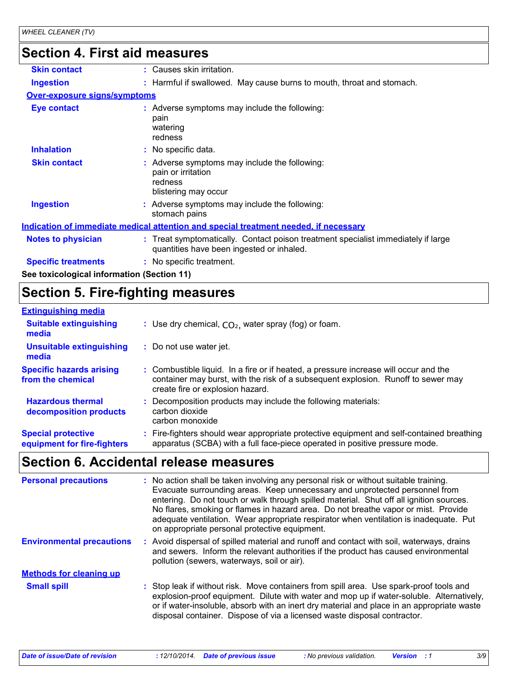# **Section 4. First aid measures**

| <b>Skin contact</b>                        | : Causes skin irritation.                                                                                                      |
|--------------------------------------------|--------------------------------------------------------------------------------------------------------------------------------|
| <b>Ingestion</b>                           | : Harmful if swallowed. May cause burns to mouth, throat and stomach.                                                          |
| <b>Over-exposure signs/symptoms</b>        |                                                                                                                                |
| Eye contact                                | : Adverse symptoms may include the following:<br>pain<br>watering<br>redness                                                   |
| <b>Inhalation</b>                          | : No specific data.                                                                                                            |
| <b>Skin contact</b>                        | Adverse symptoms may include the following:<br>pain or irritation<br>redness<br>blistering may occur                           |
| <b>Ingestion</b>                           | : Adverse symptoms may include the following:<br>stomach pains                                                                 |
|                                            | <u>Indication of immediate medical attention and special treatment needed, if necessary</u>                                    |
| <b>Notes to physician</b>                  | : Treat symptomatically. Contact poison treatment specialist immediately if large<br>quantities have been ingested or inhaled. |
| <b>Specific treatments</b>                 | : No specific treatment.                                                                                                       |
| See toxicological information (Section 11) |                                                                                                                                |

# **Section 5. Fire-fighting measures**

| <b>Extinguishing media</b>                               |                                                                                                                                                                                                               |
|----------------------------------------------------------|---------------------------------------------------------------------------------------------------------------------------------------------------------------------------------------------------------------|
| <b>Suitable extinguishing</b><br>media                   | : Use dry chemical, $CO2$ , water spray (fog) or foam.                                                                                                                                                        |
| <b>Unsuitable extinguishing</b><br>media                 | : Do not use water jet.                                                                                                                                                                                       |
| <b>Specific hazards arising</b><br>from the chemical     | : Combustible liquid. In a fire or if heated, a pressure increase will occur and the<br>container may burst, with the risk of a subsequent explosion. Runoff to sewer may<br>create fire or explosion hazard. |
| <b>Hazardous thermal</b><br>decomposition products       | Decomposition products may include the following materials:<br>carbon dioxide<br>carbon monoxide                                                                                                              |
| <b>Special protective</b><br>equipment for fire-fighters | : Fire-fighters should wear appropriate protective equipment and self-contained breathing<br>apparatus (SCBA) with a full face-piece operated in positive pressure mode.                                      |

# **Section 6. Accidental release measures**

| <b>Personal precautions</b>      | : No action shall be taken involving any personal risk or without suitable training.<br>Evacuate surrounding areas. Keep unnecessary and unprotected personnel from<br>entering. Do not touch or walk through spilled material. Shut off all ignition sources.<br>No flares, smoking or flames in hazard area. Do not breathe vapor or mist. Provide<br>adequate ventilation. Wear appropriate respirator when ventilation is inadequate. Put<br>on appropriate personal protective equipment. |
|----------------------------------|------------------------------------------------------------------------------------------------------------------------------------------------------------------------------------------------------------------------------------------------------------------------------------------------------------------------------------------------------------------------------------------------------------------------------------------------------------------------------------------------|
| <b>Environmental precautions</b> | : Avoid dispersal of spilled material and runoff and contact with soil, waterways, drains<br>and sewers. Inform the relevant authorities if the product has caused environmental<br>pollution (sewers, waterways, soil or air).                                                                                                                                                                                                                                                                |
| <b>Methods for cleaning up</b>   |                                                                                                                                                                                                                                                                                                                                                                                                                                                                                                |
| <b>Small spill</b>               | : Stop leak if without risk. Move containers from spill area. Use spark-proof tools and<br>explosion-proof equipment. Dilute with water and mop up if water-soluble. Alternatively,<br>or if water-insoluble, absorb with an inert dry material and place in an appropriate waste<br>disposal container. Dispose of via a licensed waste disposal contractor.                                                                                                                                  |

*Date of issue/Date of revision* **:** *12/10/2014. Date of previous issue : No previous validation. Version : 1 3/9*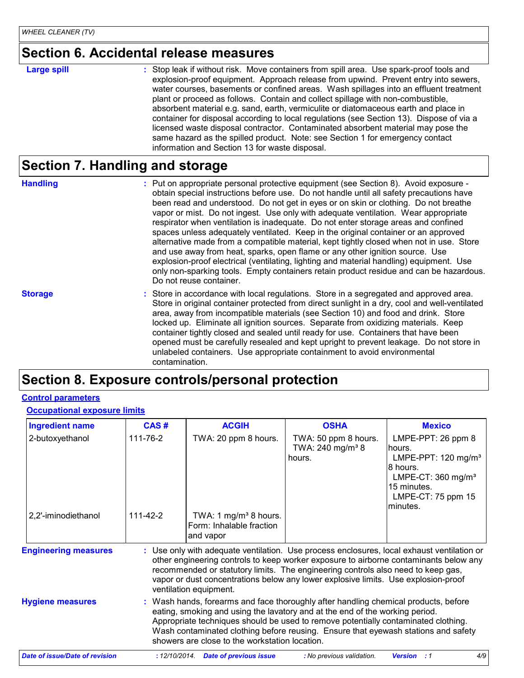## **Section 6. Accidental release measures**

#### **Large spill :**

: Stop leak if without risk. Move containers from spill area. Use spark-proof tools and explosion-proof equipment. Approach release from upwind. Prevent entry into sewers, water courses, basements or confined areas. Wash spillages into an effluent treatment plant or proceed as follows. Contain and collect spillage with non-combustible, absorbent material e.g. sand, earth, vermiculite or diatomaceous earth and place in container for disposal according to local regulations (see Section 13). Dispose of via a licensed waste disposal contractor. Contaminated absorbent material may pose the same hazard as the spilled product. Note: see Section 1 for emergency contact information and Section 13 for waste disposal.

### **Section 7. Handling and storage**

**Handling** entries and the Put on appropriate personal protective equipment (see Section 8). Avoid exposure obtain special instructions before use. Do not handle until all safety precautions have been read and understood. Do not get in eyes or on skin or clothing. Do not breathe vapor or mist. Do not ingest. Use only with adequate ventilation. Wear appropriate respirator when ventilation is inadequate. Do not enter storage areas and confined spaces unless adequately ventilated. Keep in the original container or an approved alternative made from a compatible material, kept tightly closed when not in use. Store and use away from heat, sparks, open flame or any other ignition source. Use explosion-proof electrical (ventilating, lighting and material handling) equipment. Use only non-sparking tools. Empty containers retain product residue and can be hazardous. Do not reuse container.

**Storage** Store in accordance with local regulations. Store in a segregated and approved area. Store in original container protected from direct sunlight in a dry, cool and well-ventilated area, away from incompatible materials (see Section 10) and food and drink. Store locked up. Eliminate all ignition sources. Separate from oxidizing materials. Keep container tightly closed and sealed until ready for use. Containers that have been opened must be carefully resealed and kept upright to prevent leakage. Do not store in unlabeled containers. Use appropriate containment to avoid environmental contamination.

## **Section 8. Exposure controls/personal protection**

#### **Control parameters**

#### **Occupational exposure limits**

| <b>Ingredient name</b>                 | CAS#                 | <b>ACGIH</b>                                                                                                                                                                                                                                                                                                                                                                                    | <b>OSHA</b>                                                    | <b>Mexico</b>                                                                                                                                                       |
|----------------------------------------|----------------------|-------------------------------------------------------------------------------------------------------------------------------------------------------------------------------------------------------------------------------------------------------------------------------------------------------------------------------------------------------------------------------------------------|----------------------------------------------------------------|---------------------------------------------------------------------------------------------------------------------------------------------------------------------|
| 2-butoxyethanol<br>2,2'-iminodiethanol | 111-76-2<br>111-42-2 | TWA: 20 ppm 8 hours.<br>TWA: 1 mg/m <sup>3</sup> 8 hours.<br>Form: Inhalable fraction<br>and vapor                                                                                                                                                                                                                                                                                              | TWA: 50 ppm 8 hours.<br>TWA: 240 mg/m <sup>3</sup> 8<br>hours. | LMPE-PPT: 26 ppm 8<br>hours.<br>LMPE-PPT: $120$ mg/m <sup>3</sup><br>8 hours.<br>LMPE-CT: $360$ mg/m <sup>3</sup><br>15 minutes.<br>LMPE-CT: 75 ppm 15<br>lminutes. |
| <b>Engineering measures</b>            |                      | Use only with adequate ventilation. Use process enclosures, local exhaust ventilation or<br>other engineering controls to keep worker exposure to airborne contaminants below any<br>recommended or statutory limits. The engineering controls also need to keep gas,<br>vapor or dust concentrations below any lower explosive limits. Use explosion-proof<br>ventilation equipment.           |                                                                |                                                                                                                                                                     |
| <b>Hygiene measures</b>                |                      | Wash hands, forearms and face thoroughly after handling chemical products, before<br>eating, smoking and using the lavatory and at the end of the working period.<br>Appropriate techniques should be used to remove potentially contaminated clothing.<br>Wash contaminated clothing before reusing. Ensure that eyewash stations and safety<br>showers are close to the workstation location. |                                                                |                                                                                                                                                                     |
| <b>Date of issue/Date of revision</b>  | :12/10/2014.         | <b>Date of previous issue</b>                                                                                                                                                                                                                                                                                                                                                                   | : No previous validation.                                      | 4/9<br><b>Version</b> : 1                                                                                                                                           |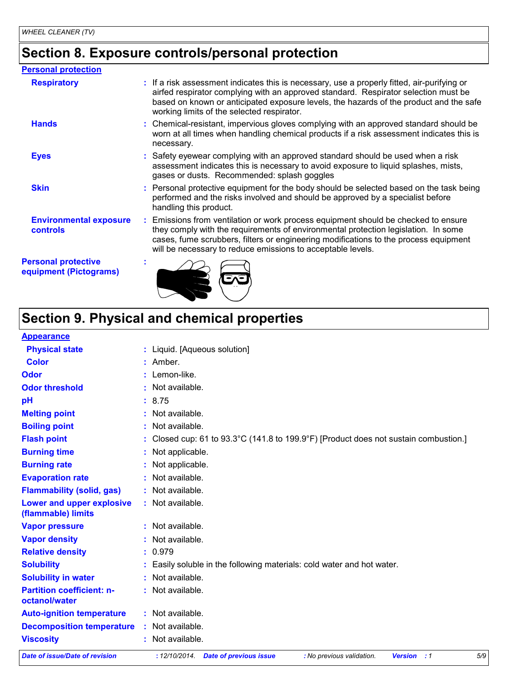# **Section 8. Exposure controls/personal protection**

| <b>Personal protection</b>                           |                                                                                                                                                                                                                                                                                                                                 |
|------------------------------------------------------|---------------------------------------------------------------------------------------------------------------------------------------------------------------------------------------------------------------------------------------------------------------------------------------------------------------------------------|
| <b>Respiratory</b>                                   | : If a risk assessment indicates this is necessary, use a properly fitted, air-purifying or<br>airfed respirator complying with an approved standard. Respirator selection must be<br>based on known or anticipated exposure levels, the hazards of the product and the safe<br>working limits of the selected respirator.      |
| <b>Hands</b>                                         | : Chemical-resistant, impervious gloves complying with an approved standard should be<br>worn at all times when handling chemical products if a risk assessment indicates this is<br>necessary.                                                                                                                                 |
| <b>Eyes</b>                                          | : Safety eyewear complying with an approved standard should be used when a risk<br>assessment indicates this is necessary to avoid exposure to liquid splashes, mists,<br>gases or dusts. Recommended: splash goggles                                                                                                           |
| <b>Skin</b>                                          | : Personal protective equipment for the body should be selected based on the task being<br>performed and the risks involved and should be approved by a specialist before<br>handling this product.                                                                                                                             |
| <b>Environmental exposure</b><br><b>controls</b>     | : Emissions from ventilation or work process equipment should be checked to ensure<br>they comply with the requirements of environmental protection legislation. In some<br>cases, fume scrubbers, filters or engineering modifications to the process equipment<br>will be necessary to reduce emissions to acceptable levels. |
| <b>Personal protective</b><br>equipment (Pictograms) |                                                                                                                                                                                                                                                                                                                                 |

# **Section 9. Physical and chemical properties**

| <b>Appearance</b>                                 |                                                                                               |
|---------------------------------------------------|-----------------------------------------------------------------------------------------------|
| <b>Physical state</b>                             | : Liquid. [Aqueous solution]                                                                  |
| <b>Color</b>                                      | $:$ Amber.                                                                                    |
| <b>Odor</b>                                       | : Lemon-like.                                                                                 |
| <b>Odor threshold</b>                             | : Not available.                                                                              |
| pH                                                | : 8.75                                                                                        |
| <b>Melting point</b>                              | : Not available.                                                                              |
| <b>Boiling point</b>                              | : Not available.                                                                              |
| <b>Flash point</b>                                | : Closed cup: 61 to 93.3°C (141.8 to 199.9°F) [Product does not sustain combustion.]          |
| <b>Burning time</b>                               | : Not applicable.                                                                             |
| <b>Burning rate</b>                               | : Not applicable.                                                                             |
| <b>Evaporation rate</b>                           | : Not available.                                                                              |
| <b>Flammability (solid, gas)</b>                  | : Not available.                                                                              |
| Lower and upper explosive<br>(flammable) limits   | : Not available.                                                                              |
| <b>Vapor pressure</b>                             | : Not available.                                                                              |
| <b>Vapor density</b>                              | : Not available.                                                                              |
| <b>Relative density</b>                           | : 0.979                                                                                       |
| <b>Solubility</b>                                 | : Easily soluble in the following materials: cold water and hot water.                        |
| <b>Solubility in water</b>                        | : Not available.                                                                              |
| <b>Partition coefficient: n-</b><br>octanol/water | : Not available.                                                                              |
| <b>Auto-ignition temperature</b>                  | : Not available.                                                                              |
| <b>Decomposition temperature</b>                  | : Not available.                                                                              |
| <b>Viscosity</b>                                  | : Not available.                                                                              |
| <b>Date of issue/Date of revision</b>             | 5/9<br>: 12/10/2014 Date of previous issue<br><b>Version</b> : 1<br>: No previous validation. |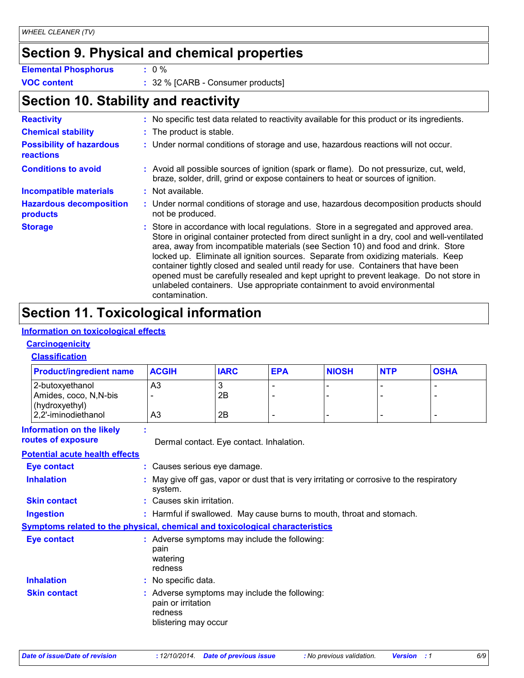# **Section 9. Physical and chemical properties**

|     | <b>Elemental Phosphoru</b> |  |
|-----|----------------------------|--|
| --- |                            |  |

**Elemental Phosphorus :** 0 %

**VOC content :** 32 % [CARB - Consumer products]

# **Section 10. Stability and reactivity**

| <b>Reactivity</b>                                   | : No specific test data related to reactivity available for this product or its ingredients.                                                                                                                                                                                                                                                                                                                                                                                                                                                                                                                                                     |
|-----------------------------------------------------|--------------------------------------------------------------------------------------------------------------------------------------------------------------------------------------------------------------------------------------------------------------------------------------------------------------------------------------------------------------------------------------------------------------------------------------------------------------------------------------------------------------------------------------------------------------------------------------------------------------------------------------------------|
| <b>Chemical stability</b>                           | : The product is stable.                                                                                                                                                                                                                                                                                                                                                                                                                                                                                                                                                                                                                         |
| <b>Possibility of hazardous</b><br><b>reactions</b> | : Under normal conditions of storage and use, hazardous reactions will not occur.                                                                                                                                                                                                                                                                                                                                                                                                                                                                                                                                                                |
| <b>Conditions to avoid</b>                          | : Avoid all possible sources of ignition (spark or flame). Do not pressurize, cut, weld,<br>braze, solder, drill, grind or expose containers to heat or sources of ignition.                                                                                                                                                                                                                                                                                                                                                                                                                                                                     |
| <b>Incompatible materials</b>                       | : Not available.                                                                                                                                                                                                                                                                                                                                                                                                                                                                                                                                                                                                                                 |
| <b>Hazardous decomposition</b><br>products          | : Under normal conditions of storage and use, hazardous decomposition products should<br>not be produced.                                                                                                                                                                                                                                                                                                                                                                                                                                                                                                                                        |
| <b>Storage</b>                                      | : Store in accordance with local regulations. Store in a segregated and approved area.<br>Store in original container protected from direct sunlight in a dry, cool and well-ventilated<br>area, away from incompatible materials (see Section 10) and food and drink. Store<br>locked up. Eliminate all ignition sources. Separate from oxidizing materials. Keep<br>container tightly closed and sealed until ready for use. Containers that have been<br>opened must be carefully resealed and kept upright to prevent leakage. Do not store in<br>unlabeled containers. Use appropriate containment to avoid environmental<br>contamination. |

# **Section 11. Toxicological information**

#### **Information on toxicological effects**

### **Carcinogenicity**

#### **Classification**

| <b>Product/ingredient name</b>                                                      | <b>ACGIH</b>                                                                                           | <b>IARC</b>                                                           | <b>EPA</b>     | <b>NIOSH</b>                                                                              | <b>NTP</b> | <b>OSHA</b>              |
|-------------------------------------------------------------------------------------|--------------------------------------------------------------------------------------------------------|-----------------------------------------------------------------------|----------------|-------------------------------------------------------------------------------------------|------------|--------------------------|
| 2-butoxyethanol<br>Amides, coco, N,N-bis                                            | A3                                                                                                     | 3<br>2B                                                               |                |                                                                                           |            |                          |
| (hydroxyethyl)<br>2,2'-iminodiethanol                                               | A <sub>3</sub>                                                                                         | 2B                                                                    | $\blacksquare$ |                                                                                           |            | $\overline{\phantom{a}}$ |
| <b>Information on the likely</b><br>routes of exposure                              |                                                                                                        | Dermal contact. Eye contact. Inhalation.                              |                |                                                                                           |            |                          |
| <b>Potential acute health effects</b>                                               |                                                                                                        |                                                                       |                |                                                                                           |            |                          |
| <b>Eye contact</b>                                                                  | : Causes serious eye damage.                                                                           |                                                                       |                |                                                                                           |            |                          |
| <b>Inhalation</b>                                                                   | system.                                                                                                |                                                                       |                | : May give off gas, vapor or dust that is very irritating or corrosive to the respiratory |            |                          |
| <b>Skin contact</b>                                                                 | : Causes skin irritation.                                                                              |                                                                       |                |                                                                                           |            |                          |
| <b>Ingestion</b>                                                                    |                                                                                                        | : Harmful if swallowed. May cause burns to mouth, throat and stomach. |                |                                                                                           |            |                          |
| <b>Symptoms related to the physical, chemical and toxicological characteristics</b> |                                                                                                        |                                                                       |                |                                                                                           |            |                          |
| Eye contact                                                                         | : Adverse symptoms may include the following:<br>pain<br>watering<br>redness                           |                                                                       |                |                                                                                           |            |                          |
| <b>Inhalation</b>                                                                   | : No specific data.                                                                                    |                                                                       |                |                                                                                           |            |                          |
| <b>Skin contact</b>                                                                 | : Adverse symptoms may include the following:<br>pain or irritation<br>redness<br>blistering may occur |                                                                       |                |                                                                                           |            |                          |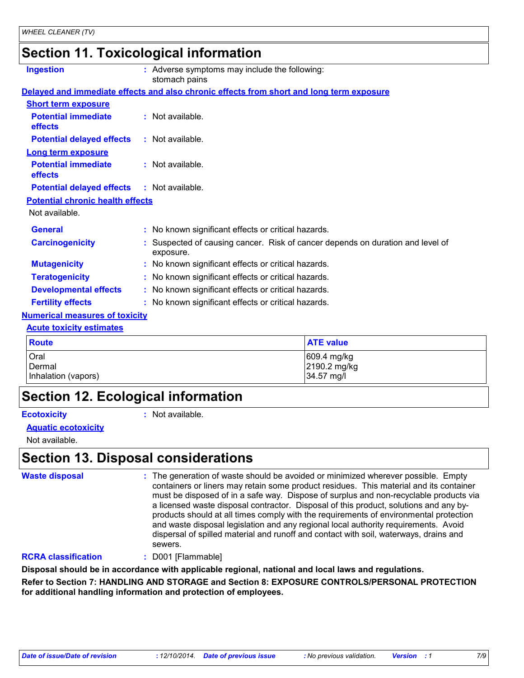# **Section 11. Toxicological information**

| <b>Ingestion</b>                                  | Adverse symptoms may include the following:<br>stomach pains                              |
|---------------------------------------------------|-------------------------------------------------------------------------------------------|
|                                                   | Delayed and immediate effects and also chronic effects from short and long term exposure  |
| <b>Short term exposure</b>                        |                                                                                           |
| <b>Potential immediate</b><br>effects             | : Not available.                                                                          |
| <b>Potential delayed effects</b>                  | : Not available.                                                                          |
| <b>Long term exposure</b>                         |                                                                                           |
| <b>Potential immediate</b><br>effects             | : Not available.                                                                          |
| <b>Potential delayed effects : Not available.</b> |                                                                                           |
| <b>Potential chronic health effects</b>           |                                                                                           |
| Not available.                                    |                                                                                           |
| <b>General</b>                                    | : No known significant effects or critical hazards.                                       |
| <b>Carcinogenicity</b>                            | Suspected of causing cancer. Risk of cancer depends on duration and level of<br>exposure. |
| <b>Mutagenicity</b>                               | : No known significant effects or critical hazards.                                       |
| <b>Teratogenicity</b>                             | : No known significant effects or critical hazards.                                       |
| <b>Developmental effects</b>                      | : No known significant effects or critical hazards.                                       |
| <b>Fertility effects</b>                          | : No known significant effects or critical hazards.                                       |
| <b>Numerical measures of toxicity</b>             |                                                                                           |

#### **Acute toxicity estimates**

| <b>Route</b>        | <b>ATE</b> value |
|---------------------|------------------|
| Oral                | 609.4 mg/kg      |
| Dermal              | 2190.2 mg/kg     |
| Inhalation (vapors) | 34.57 mg/l       |

## **Section 12. Ecological information**

**Ecotoxicity :**

: Not available.

#### **Aquatic ecotoxicity**

Not available.

## **Section 13. Disposal considerations**

**Waste disposal :**

The generation of waste should be avoided or minimized wherever possible. Empty containers or liners may retain some product residues. This material and its container must be disposed of in a safe way. Dispose of surplus and non-recyclable products via a licensed waste disposal contractor. Disposal of this product, solutions and any byproducts should at all times comply with the requirements of environmental protection and waste disposal legislation and any regional local authority requirements. Avoid dispersal of spilled material and runoff and contact with soil, waterways, drains and sewers.

#### **RCRA classification :** D001 [Flammable]

**Disposal should be in accordance with applicable regional, national and local laws and regulations. Refer to Section 7: HANDLING AND STORAGE and Section 8: EXPOSURE CONTROLS/PERSONAL PROTECTION for additional handling information and protection of employees.**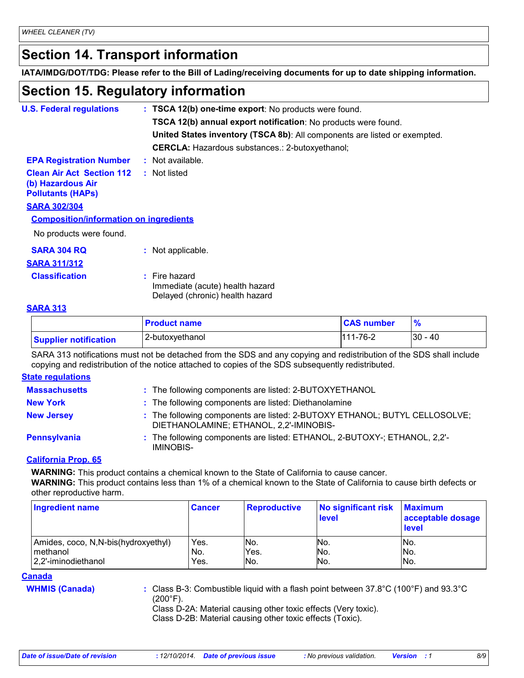# **Section 14. Transport information**

**IATA/IMDG/DOT/TDG: Please refer to the Bill of Lading/receiving documents for up to date shipping information.**

# **Section 15. Regulatory information**

| <b>U.S. Federal regulations</b>                                                   | : TSCA 12(b) one-time export: No products were found.                                 |
|-----------------------------------------------------------------------------------|---------------------------------------------------------------------------------------|
|                                                                                   |                                                                                       |
|                                                                                   | TSCA 12(b) annual export notification: No products were found.                        |
|                                                                                   | United States inventory (TSCA 8b): All components are listed or exempted.             |
|                                                                                   | <b>CERCLA:</b> Hazardous substances.: 2-butoxyethanol;                                |
| <b>EPA Registration Number</b>                                                    | $:$ Not available.                                                                    |
| <b>Clean Air Act Section 112</b><br>(b) Hazardous Air<br><b>Pollutants (HAPS)</b> | : Not listed                                                                          |
| <b>SARA 302/304</b>                                                               |                                                                                       |
| <b>Composition/information on ingredients</b>                                     |                                                                                       |
| No products were found.                                                           |                                                                                       |
| <b>SARA 304 RQ</b>                                                                | : Not applicable.                                                                     |
| <b>SARA 311/312</b>                                                               |                                                                                       |
| <b>Classification</b>                                                             | $:$ Fire hazard<br>Immediate (acute) health hazard<br>Delayed (chronic) health hazard |

#### **SARA 313**

|                              | <b>Product name</b> | <b>CAS number</b> |            |
|------------------------------|---------------------|-------------------|------------|
| <b>Supplier notification</b> | 2-butoxyethanol     | $111 - 76 - 2$    | $ 30 - 40$ |

SARA 313 notifications must not be detached from the SDS and any copying and redistribution of the SDS shall include copying and redistribution of the notice attached to copies of the SDS subsequently redistributed.

#### **State regulations**

| <b>Massachusetts</b> | : The following components are listed: 2-BUTOXYETHANOL                                                                |
|----------------------|-----------------------------------------------------------------------------------------------------------------------|
| <b>New York</b>      | : The following components are listed: Diethanolamine                                                                 |
| <b>New Jersey</b>    | : The following components are listed: 2-BUTOXY ETHANOL; BUTYL CELLOSOLVE;<br>DIETHANOLAMINE; ETHANOL, 2.2'-IMINOBIS- |
| <b>Pennsylvania</b>  | : The following components are listed: ETHANOL, 2-BUTOXY-; ETHANOL, 2,2'-<br>IMINOBIS-                                |

#### **California Prop. 65**

**WARNING:** This product contains a chemical known to the State of California to cause cancer.

**WARNING:** This product contains less than 1% of a chemical known to the State of California to cause birth defects or other reproductive harm.

| <b>Ingredient name</b>                            | <b>Cancer</b> | <b>Reproductive</b> | No significant risk<br>level | <b>Maximum</b><br>acceptable dosage<br><b>level</b> |
|---------------------------------------------------|---------------|---------------------|------------------------------|-----------------------------------------------------|
| Amides, coco, N, N-bis (hydroxyethyl)<br>methanol | Yes.<br>No.   | No.<br>Yes.         | No.<br>No.                   | No.<br>No.                                          |
| 2.2'-iminodiethanol                               | Yes.          | INo.                | No.                          | No.                                                 |

#### **Canada**

**WHMIS (Canada) :** Class B-3: Combustible liquid with a flash point between 37.8°C (100°F) and 93.3°C (200°F).

Class D-2A: Material causing other toxic effects (Very toxic).

Class D-2B: Material causing other toxic effects (Toxic).